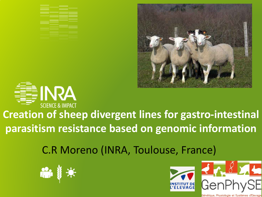





#### **Creation of sheep divergent lines for gastro-intestinal parasitism resistance based on genomic information**

C.R Moreno (INRA, Toulouse, France)





étique, Physiologie et Systèmes d'Elevage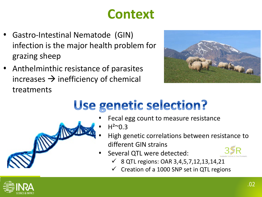### **Context**

- Gastro-Intestinal Nematode (GIN) infection is the major health problem for grazing sheep
- Anthelminthic resistance of parasites increases  $\rightarrow$  inefficiency of chemical treatments

OWNER



### Use genetic selection?

- Fecal egg count to measure resistance
- $H^{2}$  $^{\sim}$ 0.3
- High genetic correlations between resistance to different GIN strains
- Several QTL were detected:



- $\checkmark$  8 QTL regions: OAR 3,4,5,7,12,13,14,21
- Creation of a 1000 SNP set in QTL regions

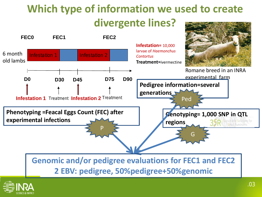#### **Which type of information we used to create divergente lines?**

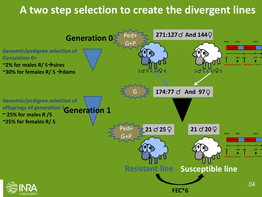#### **A two step selection to create the divergent lines**

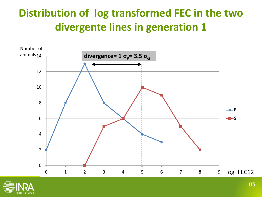#### **Distribution of log transformed FEC in the two divergente lines in generation 1**



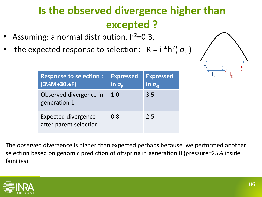#### **Is the observed divergence higher than excepted ?**

- Assuming: a normal distribution,  $h^2$ =0.3,
- the expected response to selection:  $R = i *h^2(\sigma_n)$

| $X_R$<br>O<br>F | $x_{s}$ |
|-----------------|---------|

| <b>Response to selection:</b><br>$(3%M+30%F)$        | <b>Expressed</b><br>$\overline{\mathsf{In}}\ \sigma_\text{\tiny{D}}$ | <b>Expressed</b><br>$\overline{\mathsf{in} \, \sigma_{\scriptscriptstyle \mathsf{G}}}\,$ |
|------------------------------------------------------|----------------------------------------------------------------------|------------------------------------------------------------------------------------------|
| Observed divergence in<br>generation 1               | 1.0                                                                  | 3.5                                                                                      |
| <b>Expected divergence</b><br>after parent selection | 0.8                                                                  | 2.5                                                                                      |

The observed divergence is higher than expected perhaps because we performed another selection based on genomic prediction of offspring in generation 0 (pressure=25% inside families).

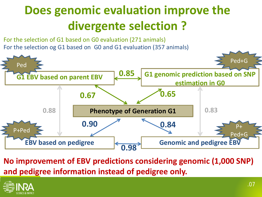### **Does genomic evaluation improve the divergente selection ?**

For the selection og G1 based on G0 and G1 evaluation (357 animals) For the selection of G1 based on G0 evaluation (271 animals)



**No improvement of EBV predictions considering genomic (1,000 SNP) and pedigree information instead of pedigree only.**

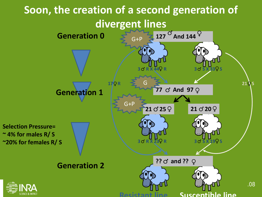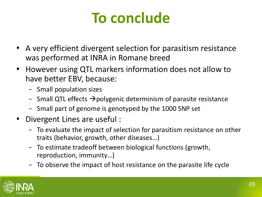## **To conclude**

- A very efficient divergent selection for parasitism resistance was performed at INRA in Romane breed
- However using QTL markers information does not allow to have better EBV, because:
	- Small population sizes
	- $-$  Small QTL effects  $\rightarrow$  polygenic determinism of parasite resistance
	- Small part of genome is genotyped by the 1000 SNP set
- Divergent Lines are useful :
	- To evaluate the impact of selection for parasitism resistance on other traits (behavior, growth, other diseases…)
	- To estimate tradeoff between biological functions (growth, reproduction, immunity…)
	- To observe the impact of host resistance on the parasite life cycle

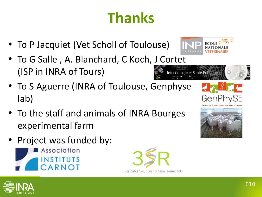# **Thanks**

- To P Jacquiet (Vet Scholl of Toulouse)
- To G Salle , A. Blanchard, C Koch, J Cortet (ISP in INRA of Tours) Infectiologie et Santé Publique
- To S Aguerre (INRA of Toulouse, Genphyse lab)
- To the staff and animals of INRA Bourges experimental farm
- Project was funded by:









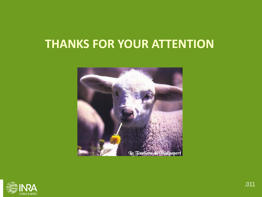#### **THANKS FOR YOUR ATTENTION**



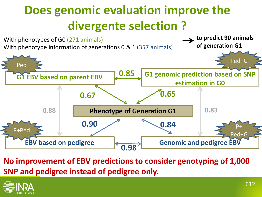### **Does genomic evaluation improve the divergente selection ?**



**No improvement of EBV predictions to consider genotyping of 1,000 SNP and pedigree instead of pedigree only.**

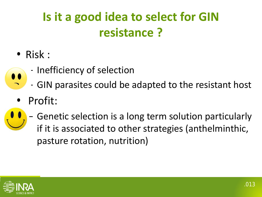### **Is it a good idea to select for GIN resistance ?**

- Risk :
	- Inefficiency of selection
	- GIN parasites could be adapted to the resistant host
- Profit:
- Genetic selection is a long term solution particularly if it is associated to other strategies (anthelminthic, pasture rotation, nutrition)